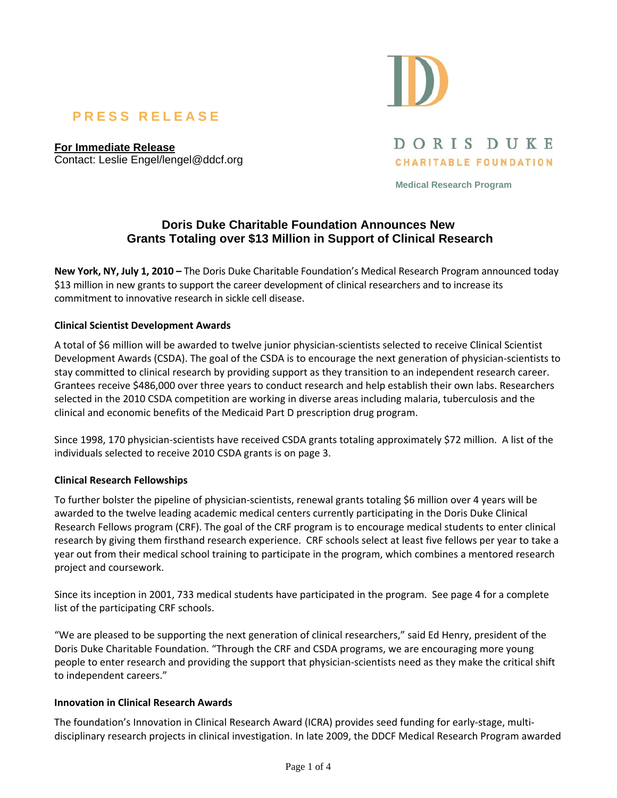# **PRESS RELEASE**

**For Immediate Release** Contact: Leslie Engel/lengel@ddcf.org



**CHARITABLE FOUNDATION** 

DORIS DUKE

**Medical Research Program** 

# **Doris Duke Charitable Foundation Announces New Grants Totaling over \$13 Million in Support of Clinical Research**

**New York, NY, July 1, 2010 –** The Doris Duke Charitable Foundation's Medical Research Program announced today \$13 million in new grants to support the career development of clinical researchers and to increase its commitment to innovative research in sickle cell disease.

#### **Clinical Scientist Development Awards**

A total of \$6 million will be awarded to twelve junior physician‐scientists selected to receive Clinical Scientist Development Awards (CSDA). The goal of the CSDA is to encourage the next generation of physician‐scientists to stay committed to clinical research by providing support as they transition to an independent research career. Grantees receive \$486,000 over three years to conduct research and help establish their own labs. Researchers selected in the 2010 CSDA competition are working in diverse areas including malaria, tuberculosis and the clinical and economic benefits of the Medicaid Part D prescription drug program.

Since 1998, 170 physician-scientists have received CSDA grants totaling approximately \$72 million. A list of the individuals selected to receive 2010 CSDA grants is on page 3.

#### **Clinical Research Fellowships**

To further bolster the pipeline of physician‐scientists, renewal grants totaling \$6 million over 4 years will be awarded to the twelve leading academic medical centers currently participating in the Doris Duke Clinical Research Fellows program (CRF). The goal of the CRF program is to encourage medical students to enter clinical research by giving them firsthand research experience. CRF schools select at least five fellows per year to take a year out from their medical school training to participate in the program, which combines a mentored research project and coursework.

Since its inception in 2001, 733 medical students have participated in the program. See page 4 for a complete list of the participating CRF schools.

"We are pleased to be supporting the next generation of clinical researchers," said Ed Henry, president of the Doris Duke Charitable Foundation. "Through the CRF and CSDA programs, we are encouraging more young people to enter research and providing the support that physician‐scientists need as they make the critical shift to independent careers."

#### **Innovation in Clinical Research Awards**

The foundation's Innovation in Clinical Research Award (ICRA) provides seed funding for early‐stage, multi‐ disciplinary research projects in clinical investigation. In late 2009, the DDCF Medical Research Program awarded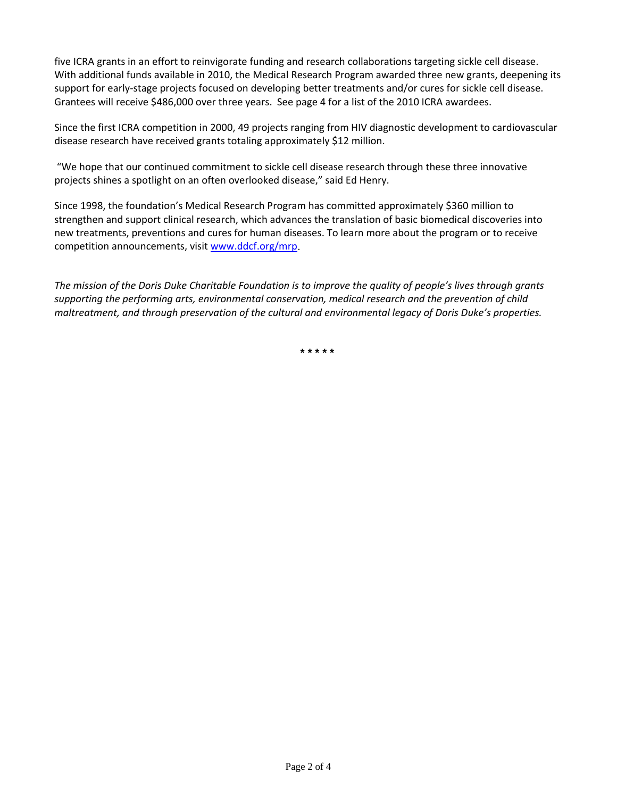five ICRA grants in an effort to reinvigorate funding and research collaborations targeting sickle cell disease. With additional funds available in 2010, the Medical Research Program awarded three new grants, deepening its support for early‐stage projects focused on developing better treatments and/or cures for sickle cell disease. Grantees will receive \$486,000 over three years. See page 4 for a list of the 2010 ICRA awardees.

Since the first ICRA competition in 2000, 49 projects ranging from HIV diagnostic development to cardiovascular disease research have received grants totaling approximately \$12 million.

"We hope that our continued commitment to sickle cell disease research through these three innovative projects shines a spotlight on an often overlooked disease," said Ed Henry.

Since 1998, the foundation's Medical Research Program has committed approximately \$360 million to strengthen and support clinical research, which advances the translation of basic biomedical discoveries into new treatments, preventions and cures for human diseases. To learn more about the program or to receive competition announcements, visit www.ddcf.org/mrp.

The mission of the Doris Duke Charitable Foundation is to improve the quality of people's lives through grants *supporting the performing arts, environmental conservation, medical research and the prevention of child maltreatment, and through preservation of the cultural and environmental legacy of Doris Duke's properties.*

**\* \* \* \* \***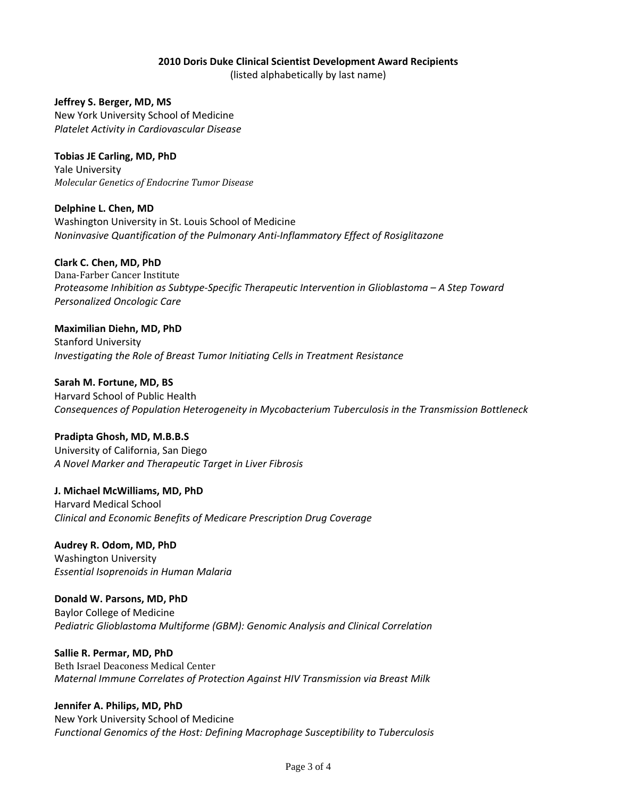# **2010 Doris Duke Clinical Scientist Development Award Recipients**

(listed alphabetically by last name)

**Jeffrey S. Berger, MD, MS** New York University School of Medicine *Platelet Activity in Cardiovascular Disease*

**Tobias JE Carling, MD, PhD** Yale University *Molecular Genetics of Endocrine Tumor Disease*

**Delphine L. Chen, MD** Washington University in St. Louis School of Medicine *Noninvasive Quantification of the Pulmonary Anti‐Inflammatory Effect of Rosiglitazone*

# **Clark C. Chen, MD, PhD**

Dana‐Farber Cancer Institute *Proteasome Inhibition as Subtype‐Specific Therapeutic Intervention in Glioblastoma – A Step Toward Personalized Oncologic Care*

**Maximilian Diehn, MD, PhD** Stanford University *Investigating the Role of Breast Tumor Initiating Cells in Treatment Resistance*

**Sarah M. Fortune, MD, BS**

Harvard School of Public Health *Consequences of Population Heterogeneity in Mycobacterium Tuberculosis in the Transmission Bottleneck*

#### **Pradipta Ghosh, MD, M.B.B.S**

University of California, San Diego *A Novel Marker and Therapeutic Target in Liver Fibrosis*

**J. Michael McWilliams, MD, PhD**

Harvard Medical School *Clinical and Economic Benefits of Medicare Prescription Drug Coverage*

**Audrey R. Odom, MD, PhD** Washington University *Essential Isoprenoids in Human Malaria*

**Donald W. Parsons, MD, PhD** Baylor College of Medicine *Pediatric Glioblastoma Multiforme (GBM): Genomic Analysis and Clinical Correlation*

#### **Sallie R. Permar, MD, PhD**

Beth Israel Deaconess Medical Center *Maternal Immune Correlates of Protection Against HIV Transmission via Breast Milk*

#### **Jennifer A. Philips, MD, PhD**

New York University School of Medicine *Functional Genomics of the Host: Defining Macrophage Susceptibility to Tuberculosis*